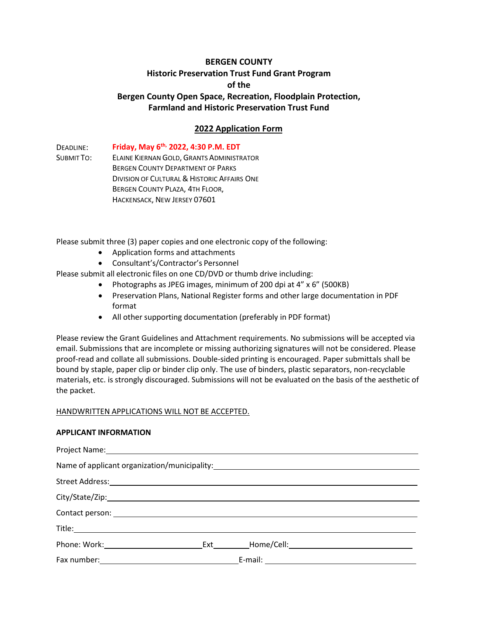# **BERGEN COUNTY Historic Preservation Trust Fund Grant Program of the Bergen County Open Space, Recreation, Floodplain Protection, Farmland and Historic Preservation Trust Fund**

# **2022 Application Form**

DEADLINE: SUBMIT TO: **Friday, May 6th, 2022, 4:30 P.M. EDT** ELAINE KIERNAN GOLD, GRANTS ADMINISTRATOR BERGEN COUNTY DEPARTMENT OF PARKS DIVISION OF CULTURAL & HISTORIC AFFAIRS ONE BERGEN COUNTY PLAZA, 4TH FLOOR, HACKENSACK, NEW JERSEY 07601

Please submit three (3) paper copies and one electronic copy of the following:

- Application forms and attachments
- Consultant's/Contractor's Personnel

Please submit all electronic files on one CD/DVD or thumb drive including:

- Photographs as JPEG images, minimum of 200 dpi at 4" x 6" (500KB)
- Preservation Plans, National Register forms and other large documentation in PDF format
- All other supporting documentation (preferably in PDF format)

Please review the Grant Guidelines and Attachment requirements. No submissions will be accepted via email. Submissions that are incomplete or missing authorizing signatures will not be considered. Please proof-read and collate all submissions. Double-sided printing is encouraged. Paper submittals shall be bound by staple, paper clip or binder clip only. The use of binders, plastic separators, non-recyclable materials, etc. is strongly discouraged. Submissions will not be evaluated on the basis of the aesthetic of the packet.

## HANDWRITTEN APPLICATIONS WILL NOT BE ACCEPTED.

#### **APPLICANT INFORMATION**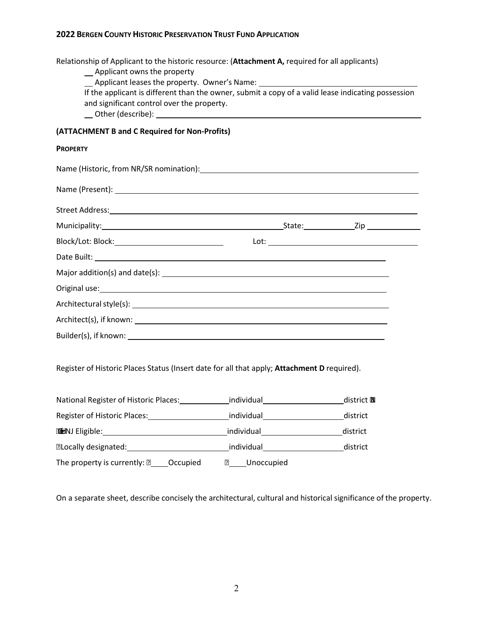| Relationship of Applicant to the historic resource: (Attachment A, required for all applicants)<br>_ Applicant owns the property                                                                                                     | ___ Applicant leases the property. Owner's Name: ________________________________                  |                   |
|--------------------------------------------------------------------------------------------------------------------------------------------------------------------------------------------------------------------------------------|----------------------------------------------------------------------------------------------------|-------------------|
| and significant control over the property.                                                                                                                                                                                           | If the applicant is different than the owner, submit a copy of a valid lease indicating possession |                   |
| (ATTACHMENT B and C Required for Non-Profits)                                                                                                                                                                                        |                                                                                                    |                   |
| <b>PROPERTY</b>                                                                                                                                                                                                                      |                                                                                                    |                   |
|                                                                                                                                                                                                                                      |                                                                                                    |                   |
|                                                                                                                                                                                                                                      |                                                                                                    |                   |
|                                                                                                                                                                                                                                      |                                                                                                    |                   |
|                                                                                                                                                                                                                                      |                                                                                                    |                   |
|                                                                                                                                                                                                                                      |                                                                                                    |                   |
|                                                                                                                                                                                                                                      |                                                                                                    |                   |
|                                                                                                                                                                                                                                      |                                                                                                    |                   |
| Original use: <u>example and a series of the series of the series of the series of the series of the series of the series of the series of the series of the series of the series of the series of the series of the series of t</u> |                                                                                                    |                   |
|                                                                                                                                                                                                                                      |                                                                                                    |                   |
|                                                                                                                                                                                                                                      |                                                                                                    |                   |
|                                                                                                                                                                                                                                      |                                                                                                    |                   |
| Register of Historic Places Status (Insert date for all that apply; Attachment D required).                                                                                                                                          |                                                                                                    |                   |
| National Register of Historic Places:                                                                                                                                                                                                |                                                                                                    | district <b>N</b> |
|                                                                                                                                                                                                                                      |                                                                                                    | district          |
| <b>TENJ Eligible:</b> district district district                                                                                                                                                                                     |                                                                                                    |                   |
| accally designated: https://www.individual_example.com/district/                                                                                                                                                                     |                                                                                                    |                   |
| The property is currently: $\mathbb{Z}$ _____Occupied                                                                                                                                                                                | <b>2</b> Unoccupied                                                                                |                   |
|                                                                                                                                                                                                                                      |                                                                                                    |                   |

On a separate sheet, describe concisely the architectural, cultural and historical significance of the property.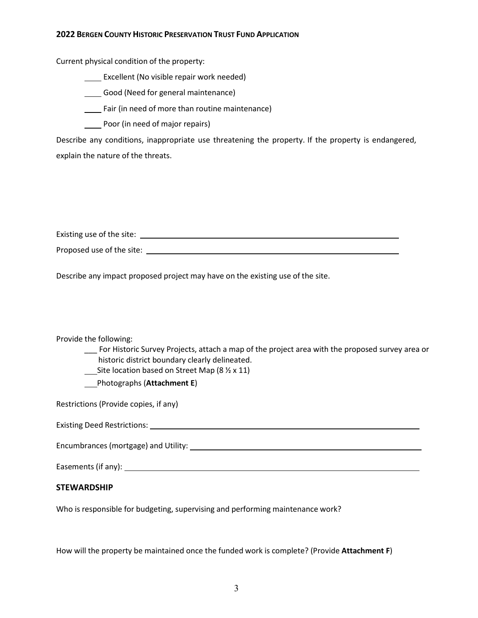Current physical condition of the property:

Excellent (No visible repair work needed)

Good (Need for general maintenance)

Fair (in need of more than routine maintenance)

Poor (in need of major repairs)

Describe any conditions, inappropriate use threatening the property. If the property is endangered, explain the nature of the threats.

Proposed use of the site:

Describe any impact proposed project may have on the existing use of the site.

Existing use of the site:

## Provide the following:

\_\_\_ For Historic Survey Projects, attach a map of the project area with the proposed survey area or historic district boundary clearly delineated.

Site location based on Street Map (8  $\frac{1}{2}$  x 11)

Photographs (**Attachment E**)

Restrictions (Provide copies, if any)

Existing Deed Restrictions:

Encumbrances (mortgage) and Utility:

Easements (if any):

## **STEWARDSHIP**

Who is responsible for budgeting, supervising and performing maintenance work?

How will the property be maintained once the funded work is complete? (Provide **Attachment F**)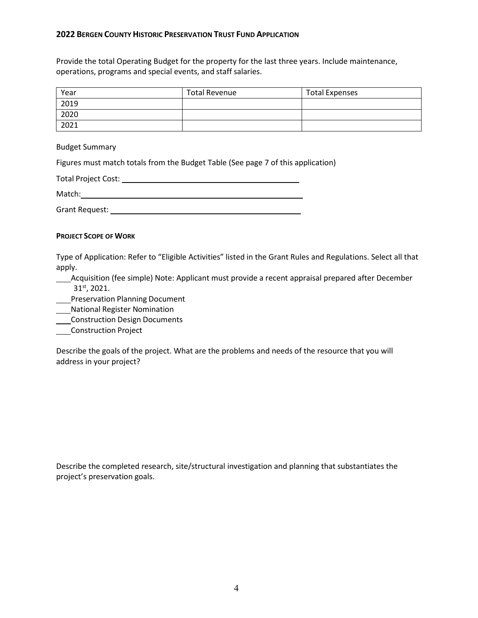Provide the total Operating Budget for the property for the last three years. Include maintenance, operations, programs and special events, and staff salaries.

| Year | <b>Total Revenue</b> | <b>Total Expenses</b> |
|------|----------------------|-----------------------|
| 2019 |                      |                       |
| 2020 |                      |                       |
| 2021 |                      |                       |

Budget Summary

Figures must match totals from the Budget Table (See page 7 of this application)

| <b>Total Project Cost:</b> |  |
|----------------------------|--|
| Match:                     |  |
| Grant Request:             |  |

### **PROJECT SCOPE OF WORK**

Type of Application: Refer to "Eligible Activities" listed in the Grant Rules and Regulations. Select all that apply.

**\_\_\_\_Acquisition (fee simple) Note: Applicant must provide a recent appraisal prepared after December** 31st, 2021.

**Fig. 2** Preservation Planning Document

National Register Nomination

Construction Design Documents

**Construction Project** 

Describe the goals of the project. What are the problems and needs of the resource that you will address in your project?

Describe the completed research, site/structural investigation and planning that substantiates the project's preservation goals.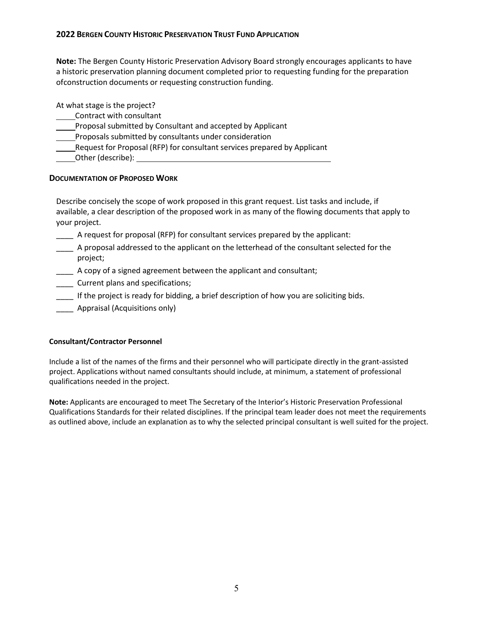**Note:** The Bergen County Historic Preservation Advisory Board strongly encourages applicants to have a historic preservation planning document completed prior to requesting funding for the preparation ofconstruction documents or requesting construction funding.

At what stage is the project?

- Contract with consultant
- Proposal submitted by Consultant and accepted by Applicant
- Proposals submitted by consultants under consideration
- Request for Proposal (RFP) for consultant services prepared by Applicant
- Other (describe):

# **DOCUMENTATION OF PROPOSED WORK**

Describe concisely the scope of work proposed in this grant request. List tasks and include, if available, a clear description of the proposed work in as many of the flowing documents that apply to your project.

- \_\_\_\_ A request for proposal (RFP) for consultant services prepared by the applicant:
- \_\_\_\_ A proposal addressed to the applicant on the letterhead of the consultant selected for the project;
- \_\_\_\_ A copy of a signed agreement between the applicant and consultant;
- \_\_\_\_ Current plans and specifications;
- \_\_\_\_ If the project is ready for bidding, a brief description of how you are soliciting bids.
- **Example 21** Appraisal (Acquisitions only)

## **Consultant/Contractor Personnel**

Include a list of the names of the firms and their personnel who will participate directly in the grant-assisted project. Applications without named consultants should include, at minimum, a statement of professional qualifications needed in the project.

**Note:** Applicants are encouraged to meet The Secretary of the Interior's Historic Preservation Professional Qualifications Standards for their related disciplines. If the principal team leader does not meet the requirements as outlined above, include an explanation as to why the selected principal consultant is well suited for the project.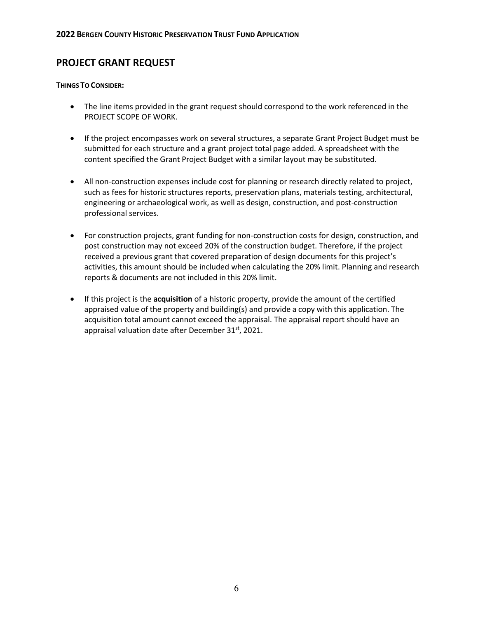# **PROJECT GRANT REQUEST**

### **THINGS TO CONSIDER:**

- The line items provided in the grant request should correspond to the work referenced in the PROJECT SCOPE OF WORK.
- If the project encompasses work on several structures, a separate Grant Project Budget must be submitted for each structure and a grant project total page added. A spreadsheet with the content specified the Grant Project Budget with a similar layout may be substituted.
- All non-construction expenses include cost for planning or research directly related to project, such as fees for historic structures reports, preservation plans, materials testing, architectural, engineering or archaeological work, as well as design, construction, and post-construction professional services.
- For construction projects, grant funding for non-construction costs for design, construction, and post construction may not exceed 20% of the construction budget. Therefore, if the project received a previous grant that covered preparation of design documents for this project's activities, this amount should be included when calculating the 20% limit. Planning and research reports & documents are not included in this 20% limit.
- If this project is the **acquisition** of a historic property, provide the amount of the certified appraised value of the property and building(s) and provide a copy with this application. The acquisition total amount cannot exceed the appraisal. The appraisal report should have an appraisal valuation date after December 31<sup>st</sup>, 2021.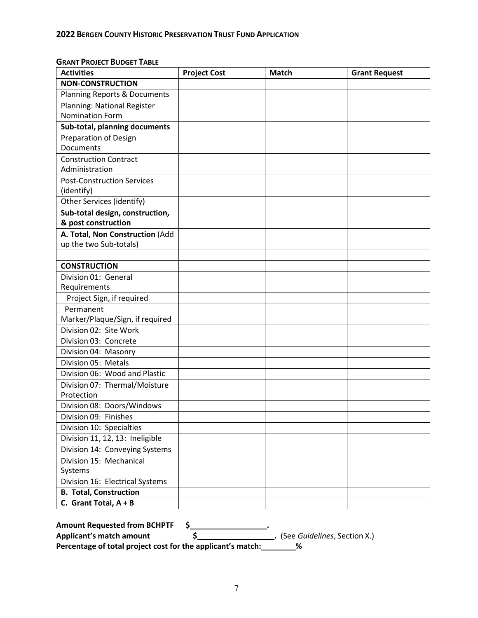| <b>Activities</b>                       | <b>Project Cost</b> | <b>Match</b> | <b>Grant Request</b> |
|-----------------------------------------|---------------------|--------------|----------------------|
| <b>NON-CONSTRUCTION</b>                 |                     |              |                      |
| <b>Planning Reports &amp; Documents</b> |                     |              |                      |
| Planning: National Register             |                     |              |                      |
| <b>Nomination Form</b>                  |                     |              |                      |
| Sub-total, planning documents           |                     |              |                      |
| <b>Preparation of Design</b>            |                     |              |                      |
| Documents                               |                     |              |                      |
| <b>Construction Contract</b>            |                     |              |                      |
| Administration                          |                     |              |                      |
| <b>Post-Construction Services</b>       |                     |              |                      |
| (identify)                              |                     |              |                      |
| Other Services (identify)               |                     |              |                      |
| Sub-total design, construction,         |                     |              |                      |
| & post construction                     |                     |              |                      |
| A. Total, Non Construction (Add         |                     |              |                      |
| up the two Sub-totals)                  |                     |              |                      |
|                                         |                     |              |                      |
| <b>CONSTRUCTION</b>                     |                     |              |                      |
| Division 01: General                    |                     |              |                      |
| Requirements                            |                     |              |                      |
| Project Sign, if required               |                     |              |                      |
| Permanent                               |                     |              |                      |
| Marker/Plaque/Sign, if required         |                     |              |                      |
| Division 02: Site Work                  |                     |              |                      |
| Division 03: Concrete                   |                     |              |                      |
| Division 04: Masonry                    |                     |              |                      |
| Division 05: Metals                     |                     |              |                      |
| Division 06: Wood and Plastic           |                     |              |                      |
| Division 07: Thermal/Moisture           |                     |              |                      |
| Protection                              |                     |              |                      |
| Division 08: Doors/Windows              |                     |              |                      |
| Division 09: Finishes                   |                     |              |                      |
| Division 10: Specialties                |                     |              |                      |
| Division 11, 12, 13: Ineligible         |                     |              |                      |
| Division 14: Conveying Systems          |                     |              |                      |
| Division 15: Mechanical                 |                     |              |                      |
| Systems                                 |                     |              |                      |
| Division 16: Electrical Systems         |                     |              |                      |
| <b>B. Total, Construction</b>           |                     |              |                      |
| C. Grant Total, $A + B$                 |                     |              |                      |

# **GRANT PROJECT BUDGET TABLE**

| <b>Amount Requested from BCHPTF</b>                         |                                |
|-------------------------------------------------------------|--------------------------------|
| Applicant's match amount                                    | . (See Guidelines, Section X.) |
| Percentage of total project cost for the applicant's match: |                                |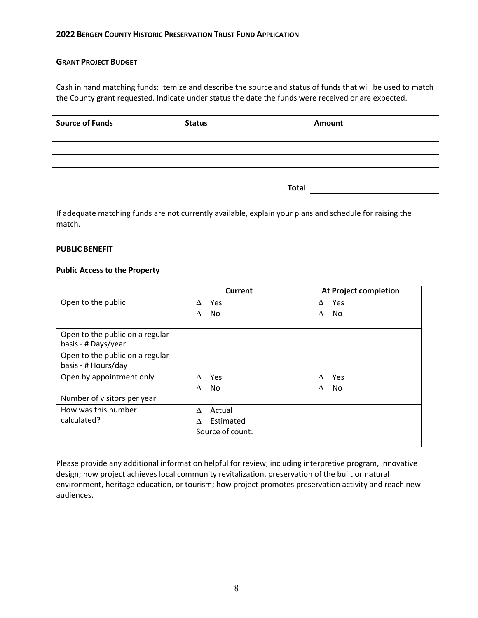### **GRANT PROJECT BUDGET**

Cash in hand matching funds: Itemize and describe the source and status of funds that will be used to match the County grant requested. Indicate under status the date the funds were received or are expected.

| <b>Source of Funds</b> | <b>Status</b> | Amount |
|------------------------|---------------|--------|
|                        |               |        |
|                        |               |        |
|                        |               |        |
|                        |               |        |
|                        | <b>Total</b>  |        |

If adequate matching funds are not currently available, explain your plans and schedule for raising the match.

#### **PUBLIC BENEFIT**

#### **Public Access to the Property**

|                                                        | Current          | <b>At Project completion</b> |
|--------------------------------------------------------|------------------|------------------------------|
| Open to the public                                     | Yes              | Yes<br>Δ                     |
|                                                        | No               | No.<br>Λ                     |
| Open to the public on a regular<br>basis - # Days/year |                  |                              |
| Open to the public on a regular<br>basis - # Hours/day |                  |                              |
| Open by appointment only                               | Yes              | Yes                          |
|                                                        | No.<br>Λ         | No.<br>Δ                     |
| Number of visitors per year                            |                  |                              |
| How was this number                                    | Actual<br>Λ      |                              |
| calculated?                                            | Estimated        |                              |
|                                                        | Source of count: |                              |

Please provide any additional information helpful for review, including interpretive program, innovative design; how project achieves local community revitalization, preservation of the built or natural environment, heritage education, or tourism; how project promotes preservation activity and reach new audiences.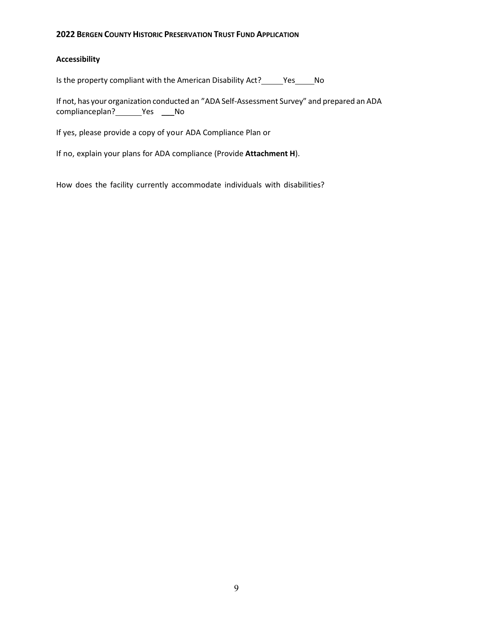### **Accessibility**

Is the property compliant with the American Disability Act?\_\_\_\_\_Yes\_\_\_\_\_No

If not, has your organization conducted an "ADA Self-Assessment Survey" and prepared an ADA complianceplan? \_\_\_\_\_\_\_ Yes \_\_\_\_\_ No

If yes, please provide a copy of your ADA Compliance Plan or

If no, explain your plans for ADA compliance (Provide **Attachment H**).

How does the facility currently accommodate individuals with disabilities?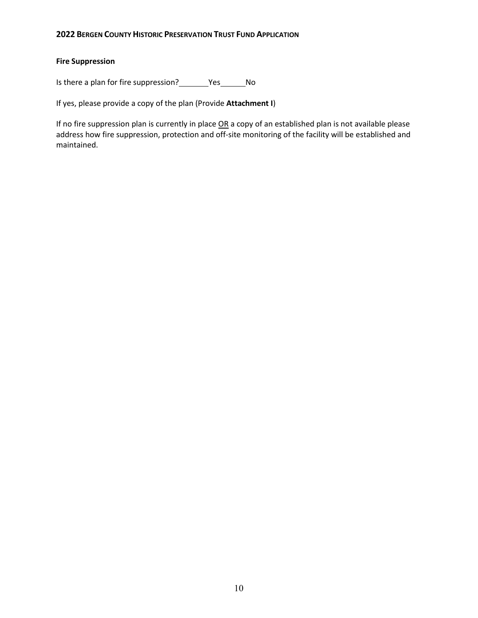# **Fire Suppression**

Is there a plan for fire suppression? \_\_\_\_\_\_\_\_Yes \_\_\_\_\_\_\_\_ No

If yes, please provide a copy of the plan (Provide **Attachment I**)

If no fire suppression plan is currently in place OR a copy of an established plan is not available please address how fire suppression, protection and off-site monitoring of the facility will be established and maintained.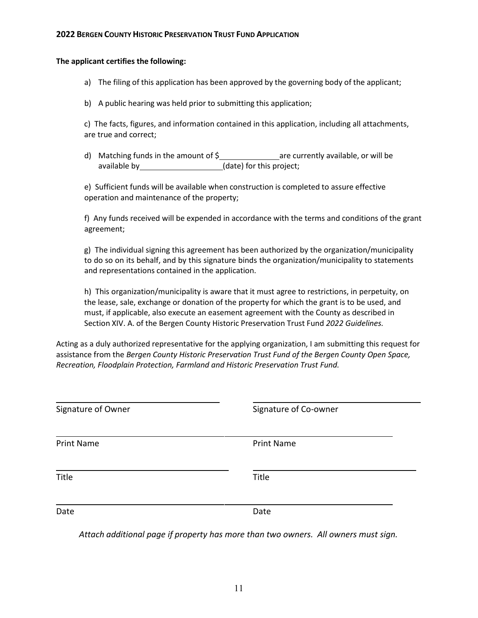#### **The applicant certifies the following:**

a) The filing of this application has been approved by the governing body of the applicant;

b) A public hearing was held prior to submitting this application;

c) The facts, figures, and information contained in this application, including all attachments, are true and correct;

d) Matching funds in the amount of  $\frac{2}{3}$  are currently available, or will be available by  $(date)$  for this project;

e) Sufficient funds will be available when construction is completed to assure effective operation and maintenance of the property;

f) Any funds received will be expended in accordance with the terms and conditions of the grant agreement;

g) The individual signing this agreement has been authorized by the organization/municipality to do so on its behalf, and by this signature binds the organization/municipality to statements and representations contained in the application.

h) This organization/municipality is aware that it must agree to restrictions, in perpetuity, on the lease, sale, exchange or donation of the property for which the grant is to be used, and must, if applicable, also execute an easement agreement with the County as described in Section XIV. A. of the Bergen County Historic Preservation Trust Fund *2022 Guidelines.*

Acting as a duly authorized representative for the applying organization, I am submitting this request for assistance from the *Bergen County Historic Preservation Trust Fund of the Bergen County Open Space, Recreation, Floodplain Protection, Farmland and Historic Preservation Trust Fund.*

| Signature of Owner | Signature of Co-owner |  |
|--------------------|-----------------------|--|
| <b>Print Name</b>  | <b>Print Name</b>     |  |
| Title              | Title                 |  |
| Date               | Date                  |  |

*Attach additional page if property has more than two owners. All owners must sign.*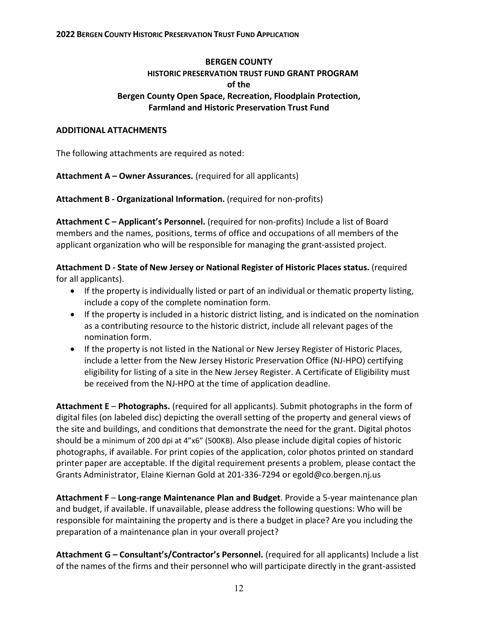# **BERGEN COUNTY HISTORIC PRESERVATION TRUST FUND GRANT PROGRAM of the Bergen County Open Space, Recreation, Floodplain Protection, Farmland and Historic Preservation Trust Fund**

# **ADDITIONAL ATTACHMENTS**

The following attachments are required as noted:

**Attachment A – Owner Assurances.** (required for all applicants)

**Attachment B - Organizational Information.** (required for non-profits)

**Attachment C – Applicant's Personnel.** (required for non-profits) Include a list of Board members and the names, positions, terms of office and occupations of all members of the applicant organization who will be responsible for managing the grant-assisted project.

**Attachment D - State of New Jersey or National Register of Historic Places status.** (required for all applicants).

- If the property is individually listed or part of an individual or thematic property listing, include a copy of the complete nomination form.
- If the property is included in a historic district listing, and is indicated on the nomination as a contributing resource to the historic district, include all relevant pages of the nomination form.
- If the property is not listed in the National or New Jersey Register of Historic Places, include a letter from the New Jersey Historic Preservation Office (NJ-HPO) certifying eligibility for listing of a site in the New Jersey Register. A Certificate of Eligibility must be received from the NJ-HPO at the time of application deadline.

**Attachment E** – **Photographs.** (required for all applicants). Submit photographs in the form of digital files (on labeled disc) depicting the overall setting of the property and general views of the site and buildings, and conditions that demonstrate the need for the grant. Digital photos should be a minimum of 200 dpi at 4"x6" (500KB). Also please include digital copies of historic photographs, if available. For print copies of the application, color photos printed on standard printer paper are acceptable. If the digital requirement presents a problem, please contact the Grants Administrator, Elaine Kiernan Gold at 201-336-7294 or [egold@co.bergen.nj.us](mailto:egold@co.bergen.nj.us)

**Attachment F** – **Long-range Maintenance Plan and Budget**. Provide a 5-year maintenance plan and budget, if available. If unavailable, please address the following questions: Who will be responsible for maintaining the property and is there a budget in place? Are you including the preparation of a maintenance plan in your overall project?

**Attachment G – Consultant's/Contractor's Personnel.** (required for all applicants) Include a list of the names of the firms and their personnel who will participate directly in the grant-assisted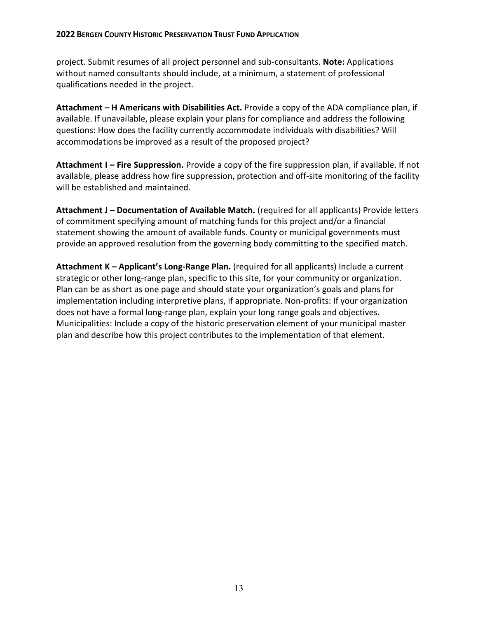project. Submit resumes of all project personnel and sub-consultants. **Note:** Applications without named consultants should include, at a minimum, a statement of professional qualifications needed in the project.

**Attachment – H Americans with Disabilities Act.** Provide a copy of the ADA compliance plan, if available. If unavailable, please explain your plans for compliance and address the following questions: How does the facility currently accommodate individuals with disabilities? Will accommodations be improved as a result of the proposed project?

**Attachment I – Fire Suppression.** Provide a copy of the fire suppression plan, if available. If not available, please address how fire suppression, protection and off-site monitoring of the facility will be established and maintained.

**Attachment J – Documentation of Available Match.** (required for all applicants) Provide letters of commitment specifying amount of matching funds for this project and/or a financial statement showing the amount of available funds. County or municipal governments must provide an approved resolution from the governing body committing to the specified match.

**Attachment K – Applicant's Long-Range Plan.** (required for all applicants) Include a current strategic or other long-range plan, specific to this site, for your community or organization. Plan can be as short as one page and should state your organization's goals and plans for implementation including interpretive plans, if appropriate. Non-profits: If your organization does not have a formal long-range plan, explain your long range goals and objectives. Municipalities: Include a copy of the historic preservation element of your municipal master plan and describe how this project contributes to the implementation of that element.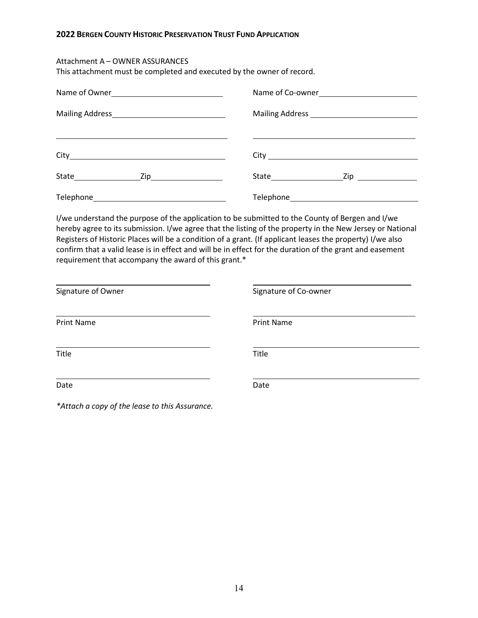### Attachment A – OWNER ASSURANCES

This attachment must be completed and executed by the owner of record.

|                                                                                                                      | Name of Co-owner |
|----------------------------------------------------------------------------------------------------------------------|------------------|
|                                                                                                                      |                  |
| <u> 1989 - Andrea Santa Andrea Andrea Andrea Andrea Andrea Andrea Andrea Andrea Andrea Andrea Andrea Andrea Andr</u> |                  |
|                                                                                                                      |                  |
|                                                                                                                      |                  |

I/we understand the purpose of the application to be submitted to the County of Bergen and I/we hereby agree to its submission. I/we agree that the listing of the property in the New Jersey or National Registers of Historic Places will be a condition of a grant. (If applicant leases the property) I/we also confirm that a valid lease is in effect and will be in effect for the duration of the grant and easement requirement that accompany the award of this grant.\*

| Signature of Owner | Signature of Co-owner |  |
|--------------------|-----------------------|--|
| <b>Print Name</b>  | <b>Print Name</b>     |  |
| Title              | Title                 |  |
| Date               | Date                  |  |

*\*Attach a copy of the lease to this Assurance.*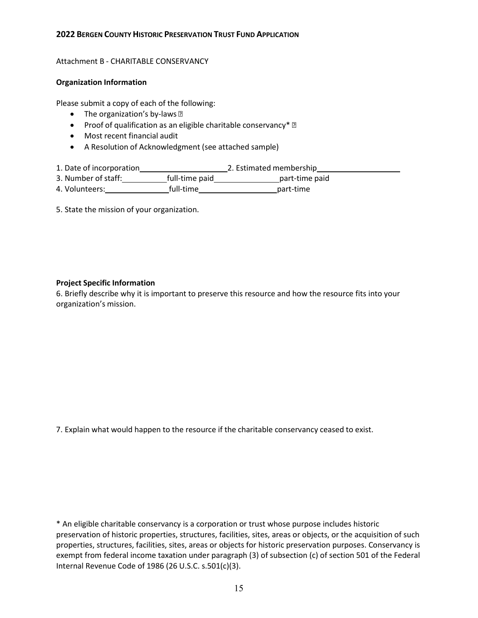### Attachment B - CHARITABLE CONSERVANCY

### **Organization Information**

Please submit a copy of each of the following:

- The organization's by-laws ?
- Proof of qualification as an eligible charitable conservancy\* $\mathbb D$
- Most recent financial audit
- A Resolution of Acknowledgment (see attached sample)
- 1. Date of incorporation 2. Estimated membership
- 3. Number of staff:\_\_\_\_\_\_\_\_\_\_\_\_\_full-time paid \_\_\_\_\_\_\_\_\_\_\_\_\_\_\_\_\_\_\_part-time paid
- 4. Volunteers: full-time part-time
- 5. State the mission of your organization.

### **Project Specific Information**

6. Briefly describe why it is important to preserve this resource and how the resource fits into your organization's mission.

7. Explain what would happen to the resource if the charitable conservancy ceased to exist.

\* An eligible charitable conservancy is a corporation or trust whose purpose includes historic preservation of historic properties, structures, facilities, sites, areas or objects, or the acquisition of such properties, structures, facilities, sites, areas or objects for historic preservation purposes. Conservancy is exempt from federal income taxation under paragraph (3) of subsection (c) of section 501 of the Federal Internal Revenue Code of 1986 (26 U.S.C. s.501(c)(3).